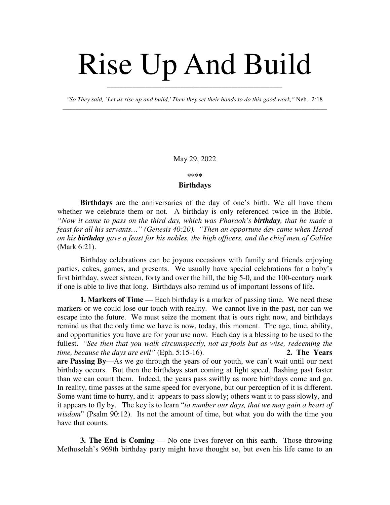## Rise Up And Build

*"So They said, `Let us rise up and build,' Then they set their hands to do this good work,"* Neh. 2:18 \_\_\_\_\_\_\_\_\_\_\_\_\_\_\_\_\_\_\_\_\_\_\_\_\_\_\_\_\_\_\_\_\_\_\_\_\_\_\_\_\_\_\_\_\_\_\_\_\_\_\_\_\_\_\_\_\_\_\_\_\_\_\_\_\_\_\_\_\_\_\_\_\_\_\_\_\_\_\_\_\_\_\_

\_\_\_\_\_\_\_\_\_\_\_\_\_\_\_\_\_\_\_\_\_\_\_\_\_\_\_\_\_\_\_\_\_\_\_\_\_\_\_\_\_\_\_\_\_\_\_\_\_\_\_\_\_\_\_

May 29, 2022

## **\*\*\*\***

## **Birthdays**

**Birthdays** are the anniversaries of the day of one's birth. We all have them whether we celebrate them or not. A birthday is only referenced twice in the Bible. *"Now it came to pass on the third day, which was Pharaoh's birthday, that he made a feast for all his servants…" (Genesis 40:20). "Then an opportune day came when Herod on his birthday gave a feast for his nobles, the high officers, and the chief men of Galilee* (Mark 6:21).

Birthday celebrations can be joyous occasions with family and friends enjoying parties, cakes, games, and presents. We usually have special celebrations for a baby's first birthday, sweet sixteen, forty and over the hill, the big 5-0, and the 100-century mark if one is able to live that long. Birthdays also remind us of important lessons of life.

**1. Markers of Time** — Each birthday is a marker of passing time. We need these markers or we could lose our touch with reality. We cannot live in the past, nor can we escape into the future. We must seize the moment that is ours right now, and birthdays remind us that the only time we have is now, today, this moment. The age, time, ability, and opportunities you have are for your use now. Each day is a blessing to be used to the fullest. "*See then that you walk circumspectly, not as fools but as wise, redeeming the time, because the days are evil"* (Eph. 5:15-16). **2. The Years are Passing By**—As we go through the years of our youth, we can't wait until our next birthday occurs. But then the birthdays start coming at light speed, flashing past faster than we can count them. Indeed, the years pass swiftly as more birthdays come and go. In reality, time passes at the same speed for everyone, but our perception of it is different. Some want time to hurry, and it appears to pass slowly; others want it to pass slowly, and it appears to fly by. The key is to learn "*to number our days, that we may gain a heart of wisdom*" (Psalm 90:12). Its not the amount of time, but what you do with the time you have that counts.

**3. The End is Coming** — No one lives forever on this earth. Those throwing Methuselah's 969th birthday party might have thought so, but even his life came to an